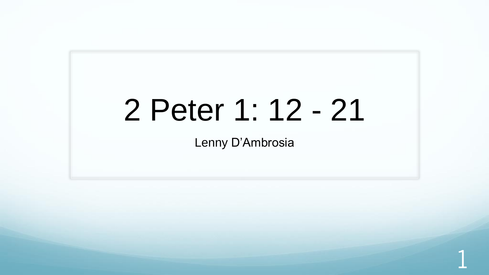# 2 Peter 1: 12 - 21

Lenny D'Ambrosia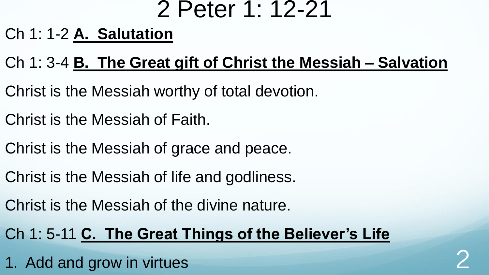### 2 Peter 1: 12-21

### Ch 1: 1-2 **A. Salutation**

### Ch 1: 3-4 **B. The Great gift of Christ the Messiah – Salvation**

- Christ is the Messiah worthy of total devotion.
- Christ is the Messiah of Faith.
- Christ is the Messiah of grace and peace.
- Christ is the Messiah of life and godliness.
- Christ is the Messiah of the divine nature.

### Ch 1: 5-11 **C. The Great Things of the Believer's Life**

1. Add and grow in virtues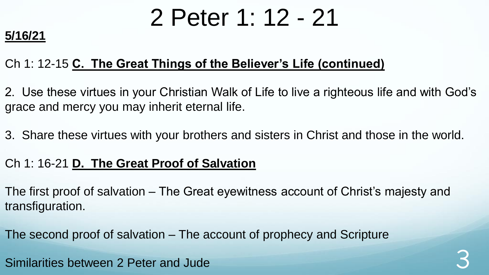## 2 Peter 1: 12 - 21

#### **5/16/21**

#### Ch 1: 12-15 **C. The Great Things of the Believer's Life (continued)**

2. Use these virtues in your Christian Walk of Life to live a righteous life and with God's grace and mercy you may inherit eternal life.

3. Share these virtues with your brothers and sisters in Christ and those in the world.

#### Ch 1: 16-21 **D. The Great Proof of Salvation**

The first proof of salvation – The Great eyewitness account of Christ's majesty and transfiguration.

The second proof of salvation – The account of prophecy and Scripture

Similarities between 2 Peter and Jude 3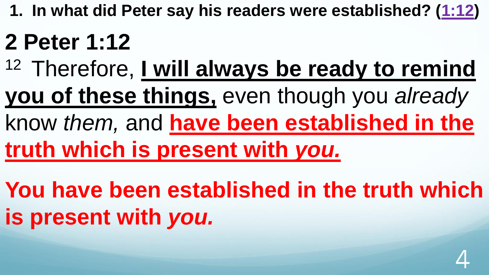**1. In what did Peter say his readers were established? ([1:12\)](http://www.crossbooks.com/verse.asp?ref=2Pe+1%3A12)**

# **2 Peter 1:12**

- <sup>12</sup> Therefore, I will always be ready to remind
- **you of these things,** even though you *already*
- know *them,* and **have been established in the truth which is present with** *you.*
- **You have been established in the truth which is present with** *you.*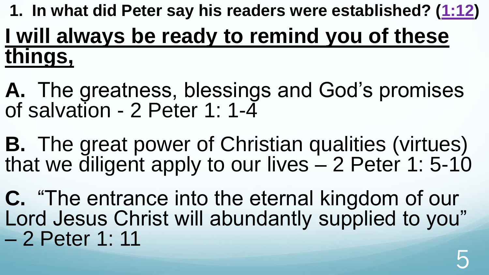## **1. In what did Peter say his readers were established? ([1:12\)](http://www.crossbooks.com/verse.asp?ref=2Pe+1%3A12) I will always be ready to remind you of these things,**

**A.** The greatness, blessings and God's promises of salvation - 2 Peter 1: 1-4

**B.** The great power of Christian qualities (virtues) that we diligent apply to our lives – 2 Peter 1: 5-10

**C.** "The entrance into the eternal kingdom of our Lord Jesus Christ will abundantly supplied to you" – 2 Peter 1: 11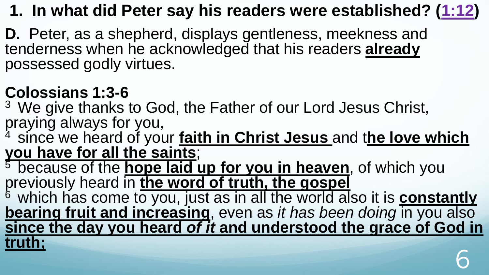### **1. In what did Peter say his readers were established? ([1:12\)](http://www.crossbooks.com/verse.asp?ref=2Pe+1%3A12)**

**D.** Peter, as a shepherd, displays gentleness, meekness and tenderness when he acknowledged that his readers **already**  possessed godly virtues.

### **Colossians 1:3-6**

<sup>3</sup> We give thanks to God, the Father of our Lord Jesus Christ, praying always for you,

<sup>4</sup>since we heard of your **faith in Christ Jesus** and t**he love which you have for all the saints**;

 $\frac{5}{5}$  because of the **hope laid up for you in heaven**, of which you previously heard in **the word of truth, the gospel** 

<sup>6</sup> which has come to you, just as in all the world also it is **constantly bearing fruit and increasing**, even as *it has been doing* in you also **since the day you heard** *of it* **and understood the grace of God in truth;**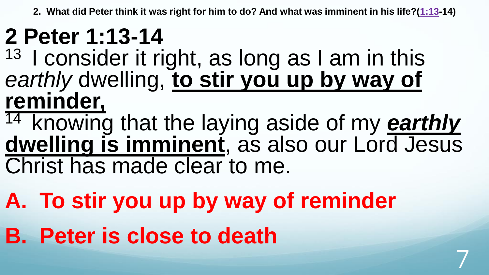**2. What did Peter think it was right for him to do? And what was imminent in his life?([1:13](http://www.crossbooks.com/verse.asp?ref=2Pe+1%3A13)-14)**

## **2 Peter 1:13-14**

- $13$  I consider it right, as long as I am in this *earthly* dwelling, **to stir you up by way of reminder,**
- <sup>14</sup> knowing that the laying aside of my **earthly dwelling is imminent**, as also our Lord Jesus Christ has made clear to me.

- **A. To stir you up by way of reminder**
- **B. Peter is close to death**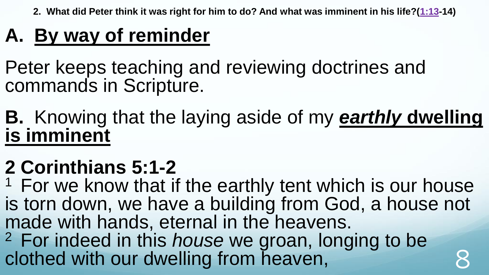**2. What did Peter think it was right for him to do? And what was imminent in his life?([1:13](http://www.crossbooks.com/verse.asp?ref=2Pe+1%3A13)-14)**

### **A. By way of reminder**

Peter keeps teaching and reviewing doctrines and commands in Scripture.

**B.** Knowing that the laying aside of my *earthly* **dwelling is imminent**

### **2 Corinthians 5:1-2**

 $1$  For we know that if the earthly tent which is our house is torn down, we have a building from God, a house not made with hands, eternal in the heavens. <sup>2</sup>For indeed in this *house* we groan, longing to be clothed with our dwelling from heaven,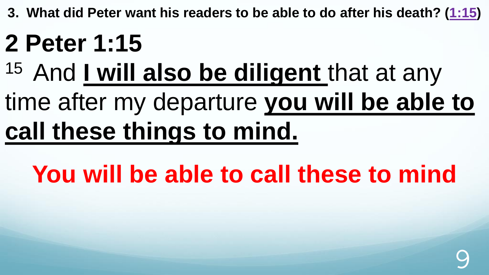**3. What did Peter want his readers to be able to do after his death? ([1:15](http://www.crossbooks.com/verse.asp?ref=2Pe+1%3A15))** 

# **2 Peter 1:15**

# 15 And I will also be diligent that at any

# time after my departure **you will be able to call these things to mind.**

# **You will be able to call these to mind**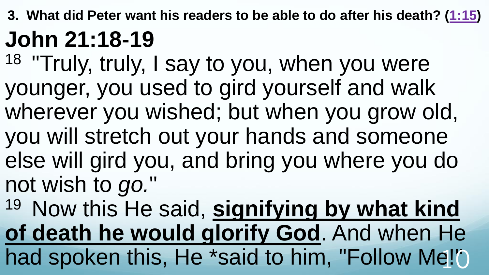**3. What did Peter want his readers to be able to do after his death? ([1:15](http://www.crossbooks.com/verse.asp?ref=2Pe+1%3A15)) John 21:18-19** 

18 "Truly, truly, I say to you, when you were younger, you used to gird yourself and walk wherever you wished; but when you grow old, you will stretch out your hands and someone else will gird you, and bring you where you do not wish to *go.*"

<sup>19</sup> Now this He said, signifying by what kind **of death he would glorify God**. And when He had spoken this, He \*said to him, "Follow Me!"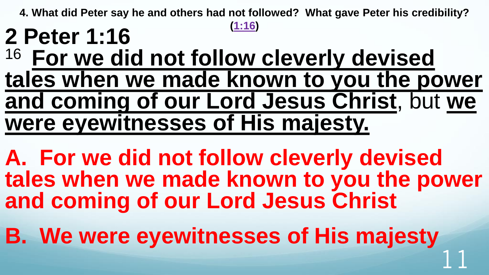## **[\(1:16\)](http://www.crossbooks.com/verse.asp?ref=2Pe+1%3A16) 2 Peter 1:16** <sup>16</sup> For we did not follow cleverly devised **tales when we made known to you the power and coming of our Lord Jesus Christ**, but **we were eyewitnesses of His majesty.**

**A. For we did not follow cleverly devised tales when we made known to you the power and coming of our Lord Jesus Christ**

**B. We were eyewitnesses of His majesty** 11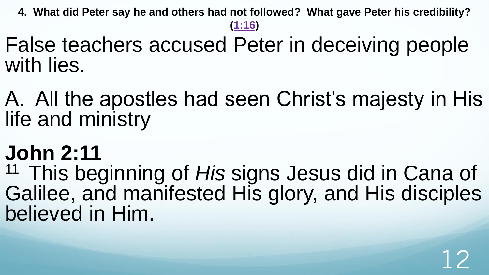False teachers accused Peter in deceiving people with lies.

A. All the apostles had seen Christ's majesty in His life and ministry

## **John 2:11**

<sup>11</sup> This beginning of His signs Jesus did in Cana of Galilee, and manifested His glory, and His disciples believed in Him.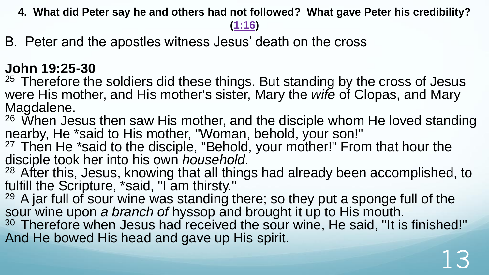**[\(1:16\)](http://www.crossbooks.com/verse.asp?ref=2Pe+1%3A16)** 

B. Peter and the apostles witness Jesus' death on the cross

### **John 19:25-30**

 $25$  Therefore the soldiers did these things. But standing by the cross of Jesus were His mother, and His mother's sister, Mary the *wife* of Clopas, and Mary Magdalene.

 $26$  When Jesus then saw His mother, and the disciple whom He loved standing nearby, He \*said to His mother, "Woman, behold, your son!"

 $27$  Then He \*said to the disciple, "Behold, your mother!" From that hour the disciple took her into his own *household.*

<sup>28</sup> After this, Jesus, knowing that all things had already been accomplished, to fulfill the Scripture, \*said, "I am thirsty."

 $29$  A jar full of sour wine was standing there; so they put a sponge full of the sour wine upon *a branch of* hyssop and brought it up to His mouth.

<sup>30</sup> Therefore when Jesus had received the sour wine, He said, "It is finished!" And He bowed His head and gave up His spirit.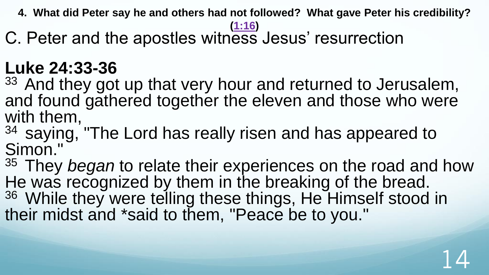#### **[\(1:16\)](http://www.crossbooks.com/verse.asp?ref=2Pe+1%3A16)**

C. Peter and the apostles witness Jesus' resurrection

### **Luke 24:33-36**

<sup>33</sup> And they got up that very hour and returned to Jerusalem, and found gathered together the eleven and those who were with them,

34 saying, "The Lord has really risen and has appeared to Simon."

<sup>35</sup> They *began* to relate their experiences on the road and how He was recognized by them in the breaking of the bread. 36 While they were telling these things, He Himself stood in their midst and \*said to them, "Peace be to you."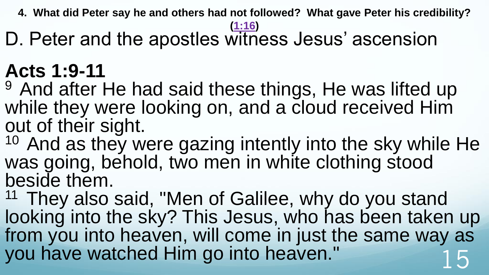#### **[\(1:16\)](http://www.crossbooks.com/verse.asp?ref=2Pe+1%3A16)**

D. Peter and the apostles witness Jesus' ascension

## **Acts 1:9-11**

<sup>9</sup> And after He had said these things, He was lifted up while they were looking on, and a cloud received Him out of their sight.

 $10$  And as they were gazing intently into the sky while He was going, behold, two men in white clothing stood beside them.

 $11$  They also said, "Men of Galilee, why do you stand looking into the sky? This Jesus, who has been taken up from you into heaven, will come in just the same way as you have watched Him go into heaven." 15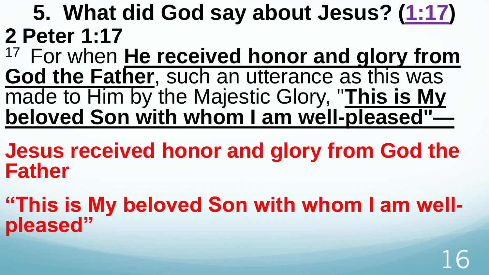**5. What did God say about Jesus? [\(1:17\)](http://www.crossbooks.com/verse.asp?ref=2Pe+1%3A17) 2 Peter 1:17**

- <sup>17</sup> For when **He received honor and glory from God the Father**, such an utterance as this was made to Him by the Majestic Glory, "**This is My beloved Son with whom I am well-pleased"—**
- **Jesus received honor and glory from God the Father**
- **"This is My beloved Son with whom I am wellpleased"**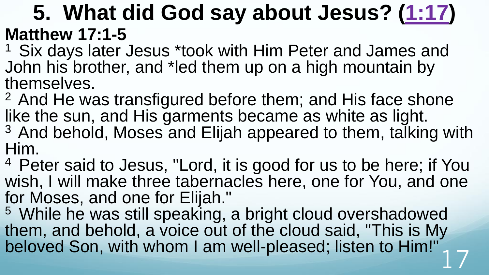### **5. What did God say about Jesus? [\(1:17\)](http://www.crossbooks.com/verse.asp?ref=2Pe+1%3A17) Matthew 17:1-5**

<sup>1</sup> Six days later Jesus \*took with Him Peter and James and John his brother, and \*led them up on a high mountain by themselves.

- <sup>2</sup> And He was transfigured before them; and His face shone like the sun, and His garments became as white as light. <sup>3</sup> And behold, Moses and Elijah appeared to them, talking with Him.
- <sup>4</sup> Peter said to Jesus, "Lord, it is good for us to be here; if You wish, I will make three tabernacles here, one for You, and one for Moses, and one for Elijah."
- <sup>5</sup> While he was still speaking, a bright cloud overshadowed them, and behold, a voice out of the cloud said, "This is My beloved Son, with whom I am well-pleased; listen to Him!"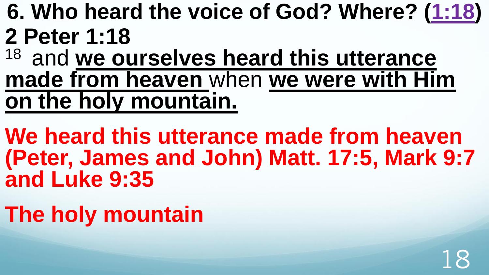- **6. Who heard the voice of God? Where? [\(1:18](http://www.crossbooks.com/verse.asp?ref=2Pe+1%3A18)) 2 Peter 1:18**
- <sup>18</sup> and we ourselves heard this utterance **made from heaven** when **we were with Him on the holy mountain.**
- **We heard this utterance made from heaven (Peter, James and John) Matt. 17:5, Mark 9:7 and Luke 9:35**
- **The holy mountain**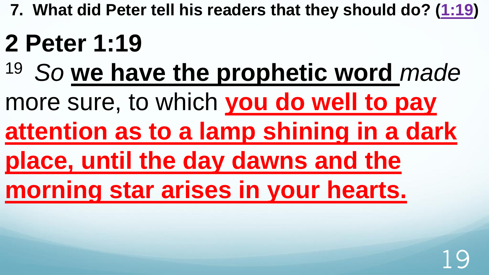# **2 Peter 1:19**

- <sup>19</sup>*So* **we have the prophetic word** *made*
- more sure, to which **you do well to pay**
- **attention as to a lamp shining in a dark**
- **place, until the day dawns and the**
- **morning star arises in your hearts.**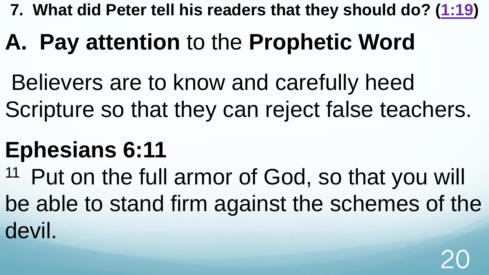# **A. Pay attention** to the **Prophetic Word**

Believers are to know and carefully heed Scripture so that they can reject false teachers.

## **Ephesians 6:11**

<sup>11</sup> Put on the full armor of God, so that you will be able to stand firm against the schemes of the devil.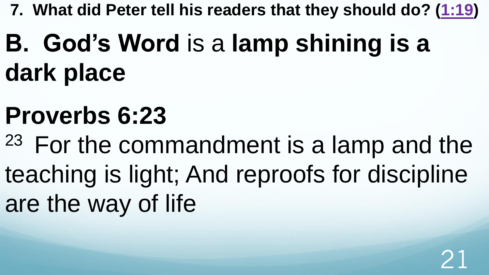# **B. God's Word** is a **lamp shining is a dark place**

# **Proverbs 6:23**

<sup>23</sup> For the commandment is a lamp and the teaching is light; And reproofs for discipline are the way of life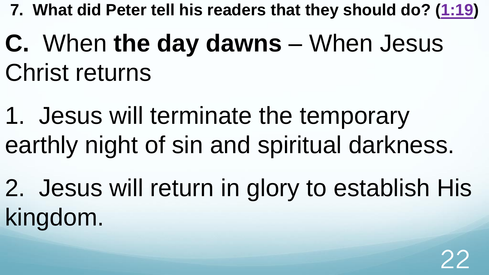- **C.** When **the day dawns** When Jesus Christ returns
- 1. Jesus will terminate the temporary earthly night of sin and spiritual darkness.
- 2. Jesus will return in glory to establish His kingdom.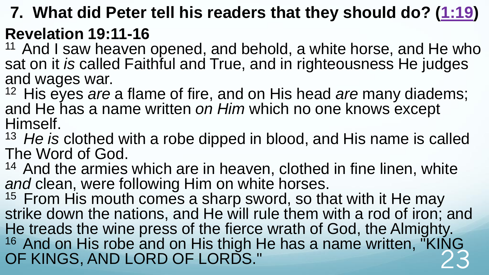### **Revelation 19:11-16**

 $11$  And I saw heaven opened, and behold, a white horse, and He who sat on it *is* called Faithful and True, and in righteousness He judges and wages war.

<sup>12</sup> His eyes *are* a flame of fire, and on His head *are* many diadems; and He has a name written *on Him* which no one knows except Himself.

<sup>13</sup>*He is* clothed with a robe dipped in blood, and His name is called The Word of God.

 $14$  And the armies which are in heaven, clothed in fine linen, white *and* clean, were following Him on white horses.

 $15$  From His mouth comes a sharp sword, so that with it He may strike down the nations, and He will rule them with a rod of iron; and He treads the wine press of the fierce wrath of God, the Almighty. <sup>16</sup> And on His robe and on His thigh He has a name written, "KING" OF KINGS, AND LORD OF LORDS."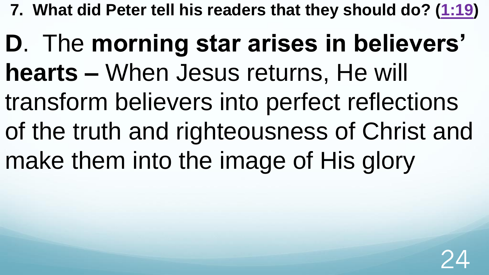**D**. The **morning star arises in believers' hearts –** When Jesus returns, He will transform believers into perfect reflections of the truth and righteousness of Christ and make them into the image of His glory

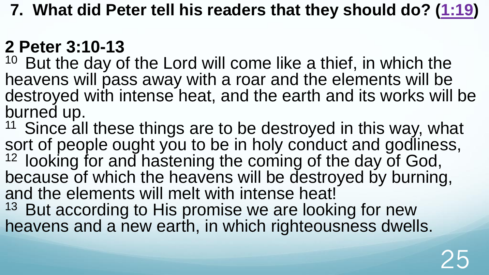### **2 Peter 3:10-13**

 $10$  But the day of the Lord will come like a thief, in which the heavens will pass away with a roar and the elements will be destroyed with intense heat, and the earth and its works will be burned up.

<sup>11</sup> Since all these things are to be destroyed in this way, what sort of people ought you to be in holy conduct and godliness, 12 looking for and hastening the coming of the day of God, because of which the heavens will be destroyed by burning, and the elements will melt with intense heat!

<sup>13</sup> But according to His promise we are looking for new heavens and a new earth, in which righteousness dwells.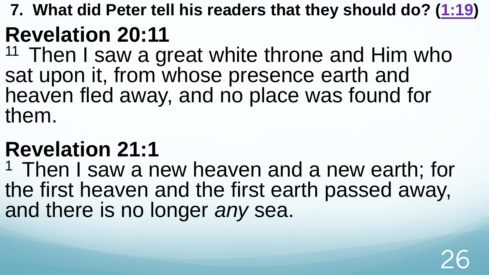## **Revelation 20:11**

 $11$  Then I saw a great white throne and Him who sat upon it, from whose presence earth and heaven fled away, and no place was found for them.

## **Revelation 21:1**

<sup>1</sup> Then I saw a new heaven and a new earth; for the first heaven and the first earth passed away, and there is no longer *any* sea.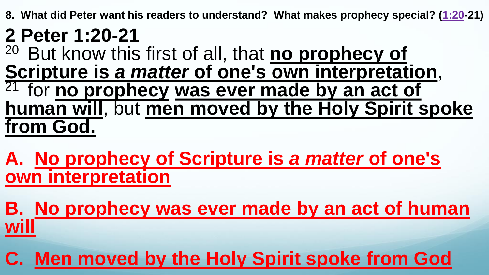**8. What did Peter want his readers to understand? What makes prophecy special? ([1:20-](http://www.crossbooks.com/verse.asp?ref=2Pe+1%3A20)21)** 

# **2 Peter 1:20-21**

But know this first of all, that **no prophecy of Scripture is** *a matter* **of one's own interpretation**, <sup>21</sup> for **no prophecy was ever made by an act of human will**, but **men moved by the Holy Spirit spoke from God.** 

**A. No prophecy of Scripture is** *a matter* **of one's own interpretation**

**B. No prophecy was ever made by an act of human will**

**C. Men moved by the Holy Spirit spoke from God**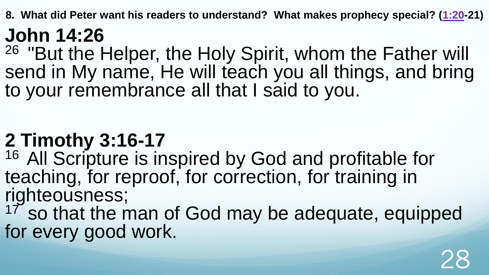**8. What did Peter want his readers to understand? What makes prophecy special? ([1:20-](http://www.crossbooks.com/verse.asp?ref=2Pe+1%3A20)21)** 

### **John 14:26**

<sup>26</sup> "But the Helper, the Holy Spirit, whom the Father will send in My name, He will teach you all things, and bring to your remembrance all that I said to you.

### **2 Timothy 3:16-17**

<sup>16</sup> All Scripture is inspired by God and profitable for teaching, for reproof, for correction, for training in righteousness;

 $17$  so that the man of God may be adequate, equipped for every good work.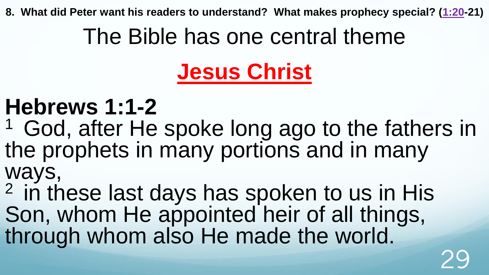**8. What did Peter want his readers to understand? What makes prophecy special? ([1:20-](http://www.crossbooks.com/verse.asp?ref=2Pe+1%3A20)21)** 

## The Bible has one central theme

# **Jesus Christ**

## **Hebrews 1:1-2**

<sup>1</sup> God, after He spoke long ago to the fathers in the prophets in many portions and in many ways,

 $2$  in these last days has spoken to us in His Son, whom He appointed heir of all things, through whom also He made the world.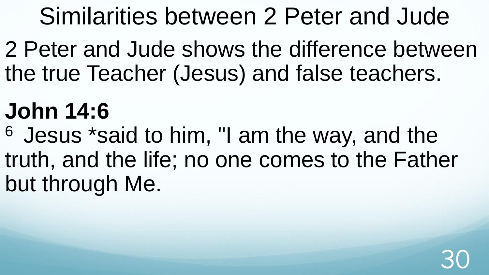2 Peter and Jude shows the difference between the true Teacher (Jesus) and false teachers.

# **John 14:6**

<sup>6</sup> Jesus \*said to him, "I am the way, and the truth, and the life; no one comes to the Father but through Me.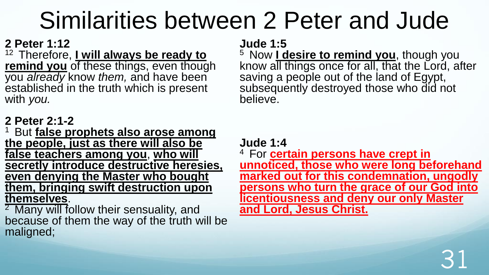#### **2 Peter 1:12**

12 Therefore, **Lwill always be ready to remind you** of these things, even though you *already* know *them,* and have been established in the truth which is present with *you.*

#### **2 Peter 2:1-2**

<sup>1</sup>But **false prophets also arose among the people, just as there will also be false teachers among you**, **who will secretly introduce destructive heresies, even denying the Master who bought them, bringing swift destruction upon themselves**.

 $2$  Many will follow their sensuality, and because of them the way of the truth will be maligned;

#### **Jude 1:5**

<sup>5</sup> Now **I desire to remind you**, though you know all things once for all, that the Lord, after saving a people out of the land of Egypt, subsequently destroyed those who did not believe.

**Jude 1:4**

<sup>4</sup> For **certain persons have crept in unnoticed, those who were long beforehand marked out for this condemnation, ungodly persons who turn the grace of our God into licentiousness and deny our only Master and Lord, Jesus Christ.**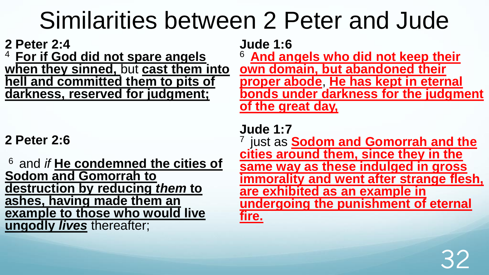**2 Peter 2:4** 

<sup>4</sup>**For if God did not spare angels when they sinned,** but **cast them into hell and committed them to pits of darkness, reserved for judgment;** 

### **2 Peter 2:6**

<sup>6</sup>and *if* **He condemned the cities of Sodom and Gomorrah to destruction by reducing** *them* **to ashes, having made them an example to those who would live ungodly** *lives* thereafter;

**Jude 1:6** 

<sup>6</sup>**And angels who did not keep their own domain, but abandoned their proper abode**, **He has kept in eternal bonds under darkness for the judgment of the great day,** 

**Jude 1:7** <sup>7</sup> just as **Sodom and Gomorrah and the cities around them, since they in the same way as these indulged in gross immorality and went after strange flesh, are exhibited as an example in undergoing the punishment of eternal fire.**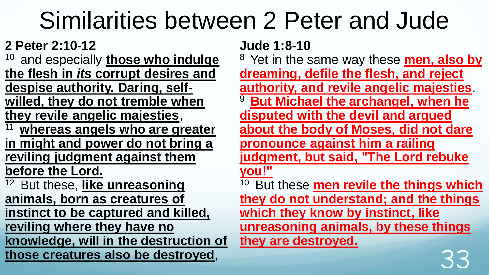### **2 Peter 2:10-12**

and especially **those who indulge the flesh in** *its* **corrupt desires and despise authority. Daring, selfwilled, they do not tremble when they revile angelic majesties**,

- <sup>11</sup>**whereas angels who are greater in might and power do not bring a reviling judgment against them before the Lord.**
- <sup>12</sup> But these, like unreasoning **animals, born as creatures of instinct to be captured and killed, reviling where they have no knowledge, will in the destruction of those creatures also be destroyed**,

#### **Jude 1:8-10**

<sup>8</sup> Yet in the same way these **men, also by dreaming, defile the flesh, and reject authority, and revile angelic majesties**. <sup>9</sup>**But Michael the archangel, when he disputed with the devil and argued about the body of Moses, did not dare pronounce against him a railing judgment, but said, "The Lord rebuke you!"**  <sup>10</sup> But these **men revile the things which they do not understand; and the things which they know by instinct, like unreasoning animals, by these things they are destroyed.**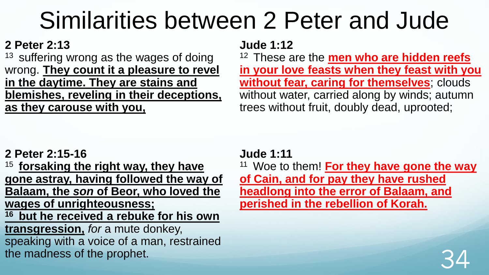#### **2 Peter 2:13**

 $13$  suffering wrong as the wages of doing wrong. **They count it a pleasure to revel in the daytime. They are stains and blemishes, reveling in their deceptions, as they carouse with you,**

#### **Jude 1:12**

<sup>12</sup>These are the **men who are hidden reefs in your love feasts when they feast with you without fear, caring for themselves**; clouds without water, carried along by winds; autumn trees without fruit, doubly dead, uprooted;

#### **2 Peter 2:15-16**

<sup>15</sup>**forsaking the right way, they have gone astray, having followed the way of Balaam, the** *son* **of Beor, who loved the wages of unrighteousness; <sup>16</sup>but he received a rebuke for his own transgression,** *for* a mute donkey, speaking with a voice of a man, restrained the madness of the prophet.

#### **Jude 1:11**

<sup>11</sup> Woe to them! **For they have gone the way of Cain, and for pay they have rushed headlong into the error of Balaam, and perished in the rebellion of Korah.** 

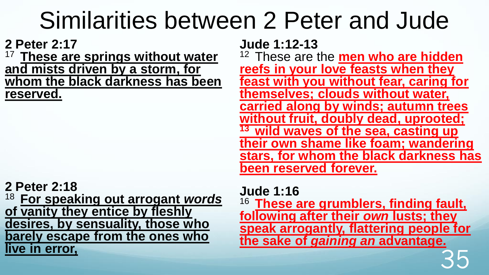**2 Peter 2:17**

**These are springs without water and mists driven by a storm, for whom the black darkness has been reserved.** 

**2 Peter 2:18** <sup>18</sup>**For speaking out arrogant** *words* **of vanity they entice by fleshly desires, by sensuality, those who barely escape from the ones who live in error,** 

**Jude 1:12-13** 

<sup>12</sup> These are the **men who are hidden reefs in your love feasts when they feast with you without fear, caring for themselves; clouds without water, carried along by winds; autumn trees without fruit, doubly dead, uprooted; <sup>13</sup>wild waves of the sea, casting up their own shame like foam; wandering stars, for whom the black darkness has been reserved forever.** 

**Jude 1:16** 

<sup>16</sup>**These are grumblers, finding fault, following after their** *own* **lusts; they speak arrogantly, flattering people for the sake of** *gaining an* **advantage.**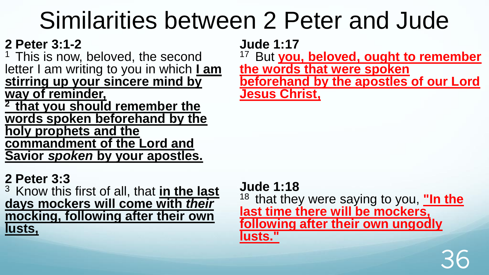### **2 Peter 3:1-2**

<sup>1</sup> This is now, beloved, the second letter I am writing to you in which **I am**  stirring up your sincere mind by

**way of reminder,** 

**<sup>2</sup>that you should remember the words spoken beforehand by the holy prophets and the commandment of the Lord and Savior** *spoken* **by your apostles.** 

#### **2 Peter 3:3**

<sup>3</sup>Know this first of all, that **in the last days mockers will come with** *their* **mocking, following after their own lusts,** 

**Jude 1:17** 

But you, beloved, ought to remember **the words that were spoken beforehand by the apostles of our Lord Jesus Christ,** 

**Jude 1:18** <sup>18</sup> that they were saying to you, **"In the last time there will be mockers, following after their own ungodly lusts."**